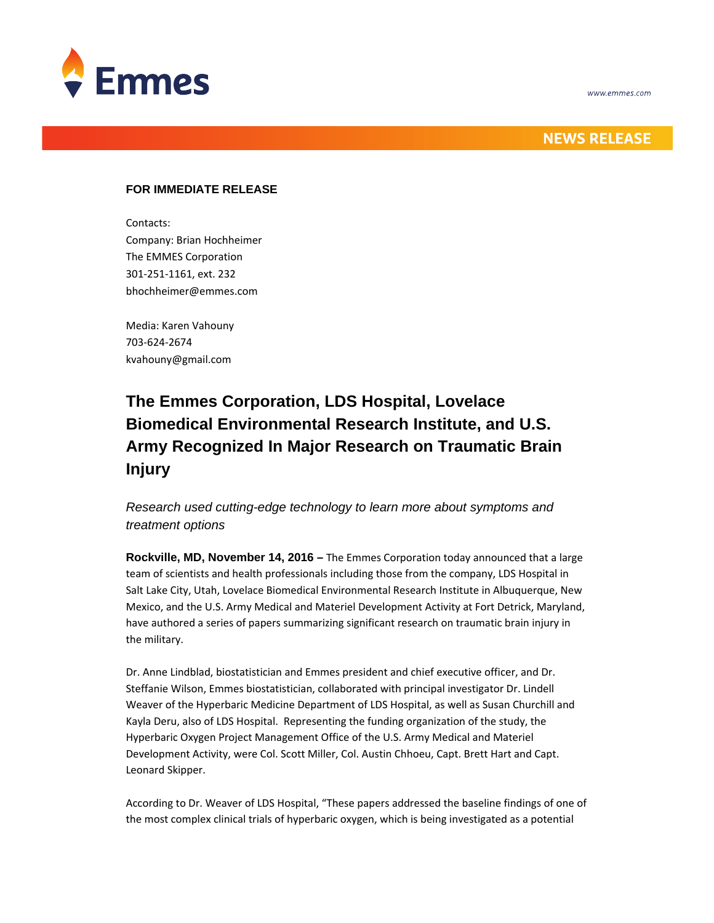



## **NEWS RELEASE**

### **FOR IMMEDIATE RELEASE**

Contacts:

Company: Brian Hochheimer The EMMES Corporation 301‐251‐1161, ext. 232 bhochheimer@emmes.com

Media: Karen Vahouny 703‐624‐2674 kvahouny@gmail.com

# **The Emmes Corporation, LDS Hospital, Lovelace Biomedical Environmental Research Institute, and U.S. Army Recognized In Major Research on Traumatic Brain Injury**

### *Research used cutting-edge technology to learn more about symptoms and treatment options*

**Rockville, MD, November 14, 2016 –** The Emmes Corporation today announced that a large team of scientists and health professionals including those from the company, LDS Hospital in Salt Lake City, Utah, Lovelace Biomedical Environmental Research Institute in Albuquerque, New Mexico, and the U.S. Army Medical and Materiel Development Activity at Fort Detrick, Maryland, have authored a series of papers summarizing significant research on traumatic brain injury in the military.

Dr. Anne Lindblad, biostatistician and Emmes president and chief executive officer, and Dr. Steffanie Wilson, Emmes biostatistician, collaborated with principal investigator Dr. Lindell Weaver of the Hyperbaric Medicine Department of LDS Hospital, as well as Susan Churchill and Kayla Deru, also of LDS Hospital. Representing the funding organization of the study, the Hyperbaric Oxygen Project Management Office of the U.S. Army Medical and Materiel Development Activity, were Col. Scott Miller, Col. Austin Chhoeu, Capt. Brett Hart and Capt. Leonard Skipper.

According to Dr. Weaver of LDS Hospital, "These papers addressed the baseline findings of one of the most complex clinical trials of hyperbaric oxygen, which is being investigated as a potential